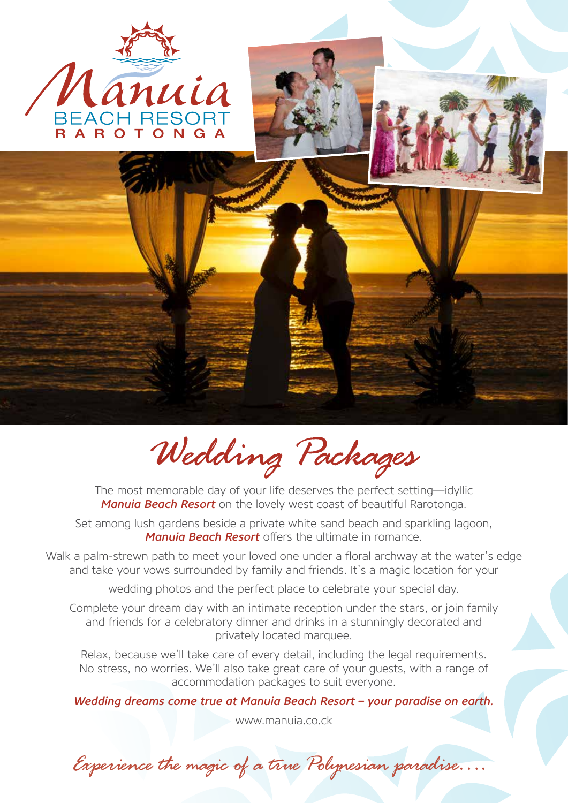

*Wedding Packages*

The most memorable day of your life deserves the perfect setting—idyllic *Manuia Beach Resort* on the lovely west coast of beautiful Rarotonga.

Set among lush gardens beside a private white sand beach and sparkling lagoon, *Manuia Beach Resort* offers the ultimate in romance.

Walk a palm-strewn path to meet your loved one under a floral archway at the water's edge and take your vows surrounded by family and friends. It's a magic location for your

wedding photos and the perfect place to celebrate your special day.

Complete your dream day with an intimate reception under the stars, or join family and friends for a celebratory dinner and drinks in a stunningly decorated and privately located marquee.

Relax, because we'll take care of every detail, including the legal requirements. No stress, no worries. We'll also take great care of your guests, with a range of accommodation packages to suit everyone.

*Wedding dreams come true at Manuia Beach Resort – your paradise on earth.*

www.manuia.co.ck

*Experience the magic of a true Polynesian paradise….*